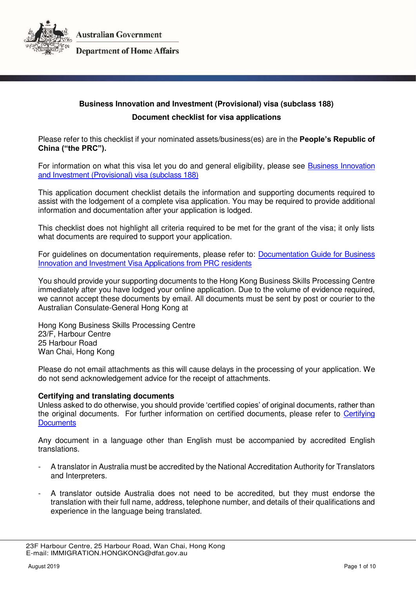



# **Business Innovation and Investment (Provisional) visa (subclass 188) Document checklist for visa applications**

Please refer to this checklist if your nominated assets/business(es) are in the **People's Republic of China ("the PRC").**

For information on what this visa let you do and general eligibility, please see [Business Innovation](https://immi.homeaffairs.gov.au/visas/getting-a-visa/visa-listing/business-innovation-and-investment-188)  [and Investment \(Provisional\) visa \(subclass 188\)](https://immi.homeaffairs.gov.au/visas/getting-a-visa/visa-listing/business-innovation-and-investment-188) 

This application document checklist details the information and supporting documents required to assist with the lodgement of a complete visa application. You may be required to provide additional information and documentation after your application is lodged.

This checklist does not highlight all criteria required to be met for the grant of the visa; it only lists what documents are required to support your application.

For guidelines on documentation requirements, please refer to: [Documentation Guide for Business](http://hongkong.china.embassy.gov.au/files/hkng/VISMG_BS_prc.pdf)  [Innovation and Investment Visa Applications from PRC residents](http://hongkong.china.embassy.gov.au/files/hkng/VISMG_BS_prc.pdf) 

You should provide your supporting documents to the Hong Kong Business Skills Processing Centre immediately after you have lodged your online application. Due to the volume of evidence required, we cannot accept these documents by email. All documents must be sent by post or courier to the Australian Consulate-General Hong Kong at

Hong Kong Business Skills Processing Centre 23/F, Harbour Centre 25 Harbour Road Wan Chai, Hong Kong

Please do not email attachments as this will cause delays in the processing of your application. We do not send acknowledgement advice for the receipt of attachments.

### **Certifying and translating documents**

Unless asked to do otherwise, you should provide 'certified copies' of original documents, rather than the original documents. For further information on certified documents, please refer to [Certifying](https://immi.homeaffairs.gov.au/help-support/applying-online-or-on-paper/on-paper/certified-copy)  **Documents** 

Any document in a language other than English must be accompanied by accredited English translations.

- A translator in Australia must be accredited by the National Accreditation Authority for Translators and Interpreters.
- A translator outside Australia does not need to be accredited, but they must endorse the translation with their full name, address, telephone number, and details of their qualifications and experience in the language being translated.

 <sup>23</sup>F Harbour Centre, 25 Harbour Road, Wan Chai, Hong Kong E-mail: IMMIGRATION.HONGKONG@dfat.gov.au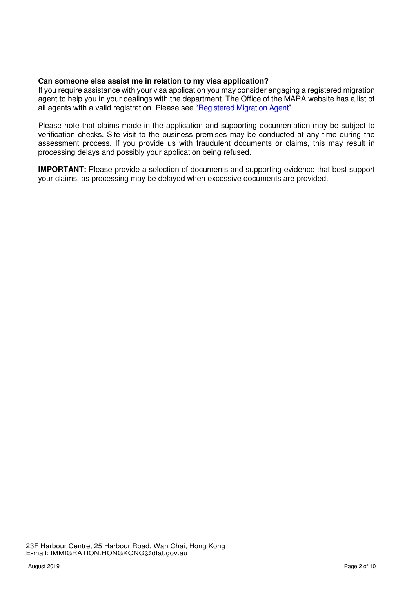### **Can someone else assist me in relation to my visa application?**

If you require assistance with your visa application you may consider engaging a registered migration agent to help you in your dealings with the department. The Office of the MARA website has a list of all agents with a valid registration. Please see "[Registered Migration Agent](https://www.mara.gov.au/)"

Please note that claims made in the application and supporting documentation may be subject to verification checks. Site visit to the business premises may be conducted at any time during the assessment process. If you provide us with fraudulent documents or claims, this may result in processing delays and possibly your application being refused.

**IMPORTANT:** Please provide a selection of documents and supporting evidence that best support your claims, as processing may be delayed when excessive documents are provided.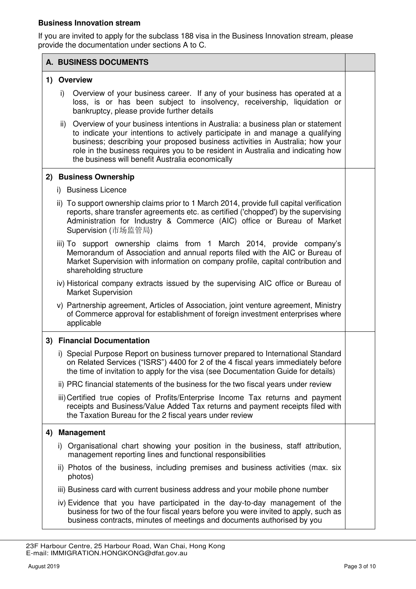### **Business Innovation stream**

If you are invited to apply for the subclass 188 visa in the Business Innovation stream, please provide the documentation under sections A to C.

|    |                            | A. BUSINESS DOCUMENTS                                                                                                                                                                                                                                                                                                                                                                      |  |
|----|----------------------------|--------------------------------------------------------------------------------------------------------------------------------------------------------------------------------------------------------------------------------------------------------------------------------------------------------------------------------------------------------------------------------------------|--|
|    | 1) Overview                |                                                                                                                                                                                                                                                                                                                                                                                            |  |
|    | i)                         | Overview of your business career. If any of your business has operated at a<br>loss, is or has been subject to insolvency, receivership, liquidation or<br>bankruptcy, please provide further details                                                                                                                                                                                      |  |
|    | ii)                        | Overview of your business intentions in Australia: a business plan or statement<br>to indicate your intentions to actively participate in and manage a qualifying<br>business; describing your proposed business activities in Australia; how your<br>role in the business requires you to be resident in Australia and indicating how<br>the business will benefit Australia economically |  |
|    |                            | 2) Business Ownership                                                                                                                                                                                                                                                                                                                                                                      |  |
|    |                            | i) Business Licence                                                                                                                                                                                                                                                                                                                                                                        |  |
|    |                            | ii) To support ownership claims prior to 1 March 2014, provide full capital verification<br>reports, share transfer agreements etc. as certified ('chopped') by the supervising<br>Administration for Industry & Commerce (AIC) office or Bureau of Market<br>Supervision (市场监管局)                                                                                                          |  |
|    |                            | iii) To support ownership claims from 1 March 2014, provide company's<br>Memorandum of Association and annual reports filed with the AIC or Bureau of<br>Market Supervision with information on company profile, capital contribution and<br>shareholding structure                                                                                                                        |  |
|    |                            | iv) Historical company extracts issued by the supervising AIC office or Bureau of<br><b>Market Supervision</b>                                                                                                                                                                                                                                                                             |  |
|    |                            | v) Partnership agreement, Articles of Association, joint venture agreement, Ministry<br>of Commerce approval for establishment of foreign investment enterprises where<br>applicable                                                                                                                                                                                                       |  |
|    | 3) Financial Documentation |                                                                                                                                                                                                                                                                                                                                                                                            |  |
|    |                            | i) Special Purpose Report on business turnover prepared to International Standard<br>on Related Services ("ISRS") 4400 for 2 of the 4 fiscal years immediately before<br>the time of invitation to apply for the visa (see Documentation Guide for details)                                                                                                                                |  |
|    |                            | ii) PRC financial statements of the business for the two fiscal years under review                                                                                                                                                                                                                                                                                                         |  |
|    |                            | iii) Certified true copies of Profits/Enterprise Income Tax returns and payment<br>receipts and Business/Value Added Tax returns and payment receipts filed with<br>the Taxation Bureau for the 2 fiscal years under review                                                                                                                                                                |  |
| 4) |                            | <b>Management</b>                                                                                                                                                                                                                                                                                                                                                                          |  |
|    | D.                         | Organisational chart showing your position in the business, staff attribution,<br>management reporting lines and functional responsibilities                                                                                                                                                                                                                                               |  |
|    |                            | ii) Photos of the business, including premises and business activities (max. six<br>photos)                                                                                                                                                                                                                                                                                                |  |
|    |                            | iii) Business card with current business address and your mobile phone number                                                                                                                                                                                                                                                                                                              |  |
|    |                            | iv) Evidence that you have participated in the day-to-day management of the<br>business for two of the four fiscal years before you were invited to apply, such as<br>business contracts, minutes of meetings and documents authorised by you                                                                                                                                              |  |

 <sup>23</sup>F Harbour Centre, 25 Harbour Road, Wan Chai, Hong Kong E-mail: IMMIGRATION.HONGKONG@dfat.gov.au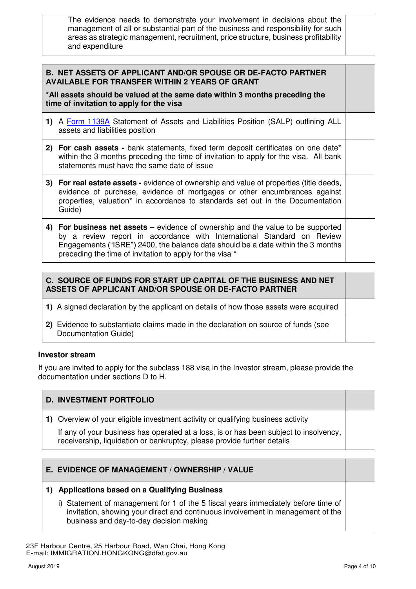The evidence needs to demonstrate your involvement in decisions about the management of all or substantial part of the business and responsibility for such areas as strategic management, recruitment, price structure, business profitability and expenditure

### **B. NET ASSETS OF APPLICANT AND/OR SPOUSE OR DE-FACTO PARTNER AVAILABLE FOR TRANSFER WITHIN 2 YEARS OF GRANT**

**\*All assets should be valued at the same date within 3 months preceding the time of invitation to apply for the visa** 

- **1)** A [Form 1139A](https://immi.homeaffairs.gov.au/form-listing/forms/1139a.pdf) Statement of Assets and Liabilities Position (SALP) outlining ALL assets and liabilities position
- **2) For cash assets** bank statements, fixed term deposit certificates on one date\* within the 3 months preceding the time of invitation to apply for the visa. All bank statements must have the same date of issue
- **3) For real estate assets** evidence of ownership and value of properties (title deeds, evidence of purchase, evidence of mortgages or other encumbrances against properties, valuation\* in accordance to standards set out in the Documentation Guide)
- **4) For business net assets –** evidence of ownership and the value to be supported by a review report in accordance with International Standard on Review Engagements ("ISRE") 2400, the balance date should be a date within the 3 months preceding the time of invitation to apply for the visa \*

### **C. SOURCE OF FUNDS FOR START UP CAPITAL OF THE BUSINESS AND NET ASSETS OF APPLICANT AND/OR SPOUSE OR DE-FACTO PARTNER**

**1)** A signed declaration by the applicant on details of how those assets were acquired

**2)** Evidence to substantiate claims made in the declaration on source of funds (see Documentation Guide)

### **Investor stream**

If you are invited to apply for the subclass 188 visa in the Investor stream, please provide the documentation under sections D to H.

### **D. INVESTMENT PORTFOLIO**

**1)** Overview of your eligible investment activity or qualifying business activity

If any of your business has operated at a loss, is or has been subject to insolvency, receivership, liquidation or bankruptcy, please provide further details

### **E. EVIDENCE OF MANAGEMENT / OWNERSHIP / VALUE**

### **1) Applications based on a Qualifying Business**

i) Statement of management for 1 of the 5 fiscal years immediately before time of invitation, showing your direct and continuous involvement in management of the business and day-to-day decision making

 <sup>23</sup>F Harbour Centre, 25 Harbour Road, Wan Chai, Hong Kong E-mail: IMMIGRATION.HONGKONG@dfat.gov.au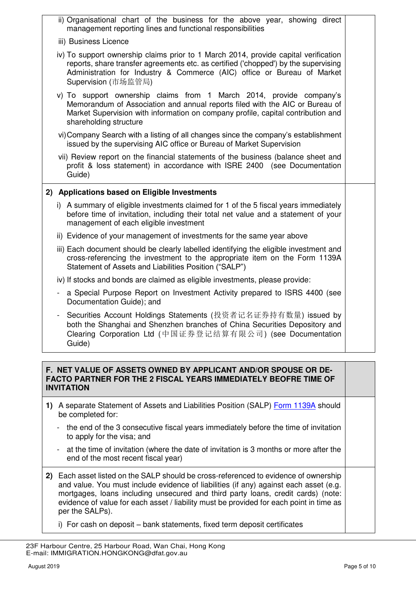|                                                                                                                                                        |                | ii) Organisational chart of the business for the above year, showing direct<br>management reporting lines and functional responsibilities                                                                                                                                    |  |
|--------------------------------------------------------------------------------------------------------------------------------------------------------|----------------|------------------------------------------------------------------------------------------------------------------------------------------------------------------------------------------------------------------------------------------------------------------------------|--|
|                                                                                                                                                        |                | iii) Business Licence                                                                                                                                                                                                                                                        |  |
|                                                                                                                                                        |                | iv) To support ownership claims prior to 1 March 2014, provide capital verification<br>reports, share transfer agreements etc. as certified ('chopped') by the supervising<br>Administration for Industry & Commerce (AIC) office or Bureau of Market<br>Supervision (市场监管局) |  |
|                                                                                                                                                        |                | v) To support ownership claims from 1 March 2014, provide company's<br>Memorandum of Association and annual reports filed with the AIC or Bureau of<br>Market Supervision with information on company profile, capital contribution and<br>shareholding structure            |  |
|                                                                                                                                                        |                | vi) Company Search with a listing of all changes since the company's establishment<br>issued by the supervising AIC office or Bureau of Market Supervision                                                                                                                   |  |
|                                                                                                                                                        |                | vii) Review report on the financial statements of the business (balance sheet and<br>profit & loss statement) in accordance with ISRE 2400 (see Documentation<br>Guide)                                                                                                      |  |
|                                                                                                                                                        |                | 2) Applications based on Eligible Investments                                                                                                                                                                                                                                |  |
|                                                                                                                                                        |                | i) A summary of eligible investments claimed for 1 of the 5 fiscal years immediately<br>before time of invitation, including their total net value and a statement of your<br>management of each eligible investment                                                         |  |
|                                                                                                                                                        |                | ii) Evidence of your management of investments for the same year above                                                                                                                                                                                                       |  |
|                                                                                                                                                        |                | iii) Each document should be clearly labelled identifying the eligible investment and<br>cross-referencing the investment to the appropriate item on the Form 1139A<br>Statement of Assets and Liabilities Position ("SALP")                                                 |  |
|                                                                                                                                                        |                | iv) If stocks and bonds are claimed as eligible investments, please provide:                                                                                                                                                                                                 |  |
|                                                                                                                                                        | $\blacksquare$ | a Special Purpose Report on Investment Activity prepared to ISRS 4400 (see<br>Documentation Guide); and                                                                                                                                                                      |  |
|                                                                                                                                                        |                | Securities Account Holdings Statements (投资者记名证券持有数量) issued by<br>both the Shanghai and Shenzhen branches of China Securities Depository and<br>Clearing Corporation Ltd (中国证券登记结算有限公司) (see Documentation<br>Guide)                                                         |  |
|                                                                                                                                                        |                |                                                                                                                                                                                                                                                                              |  |
| F. NET VALUE OF ASSETS OWNED BY APPLICANT AND/OR SPOUSE OR DE-<br>FACTO PARTNER FOR THE 2 FISCAL YEARS IMMEDIATELY BEOFRE TIME OF<br><b>INVITATION</b> |                |                                                                                                                                                                                                                                                                              |  |
|                                                                                                                                                        |                | 1) A separate Statement of Assets and Liabilities Position (SALP) Form 1139A should<br>be completed for:                                                                                                                                                                     |  |
|                                                                                                                                                        |                |                                                                                                                                                                                                                                                                              |  |

- the end of the 3 consecutive fiscal years immediately before the time of invitation to apply for the visa; and
- at the time of invitation (where the date of invitation is 3 months or more after the end of the most recent fiscal year)
- **2)** Each asset listed on the SALP should be cross-referenced to evidence of ownership and value. You must include evidence of liabilities (if any) against each asset (e.g. mortgages, loans including unsecured and third party loans, credit cards) (note: evidence of value for each asset / liability must be provided for each point in time as per the SALPs).
	- i) For cash on deposit bank statements, fixed term deposit certificates

 <sup>23</sup>F Harbour Centre, 25 Harbour Road, Wan Chai, Hong Kong E-mail: IMMIGRATION.HONGKONG@dfat.gov.au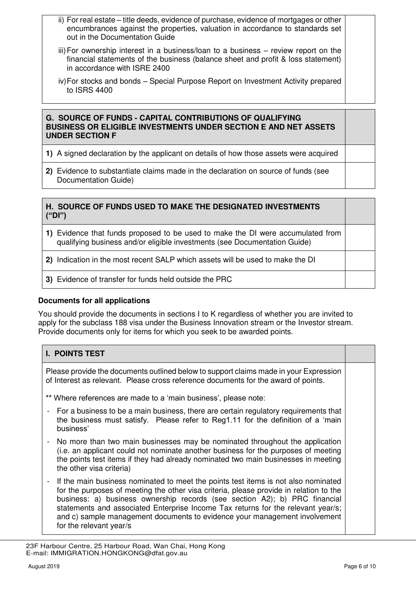- ii) For real estate title deeds, evidence of purchase, evidence of mortgages or other encumbrances against the properties, valuation in accordance to standards set out in the Documentation Guide
- iii) For ownership interest in a business/loan to a business review report on the financial statements of the business (balance sheet and profit & loss statement) in accordance with ISRE 2400
- iv) For stocks and bonds Special Purpose Report on Investment Activity prepared to ISRS 4400

### **G. SOURCE OF FUNDS - CAPITAL CONTRIBUTIONS OF QUALIFYING BUSINESS OR ELIGIBLE INVESTMENTS UNDER SECTION E AND NET ASSETS UNDER SECTION F**

- **1)** A signed declaration by the applicant on details of how those assets were acquired
- **2)** Evidence to substantiate claims made in the declaration on source of funds (see Documentation Guide)

# **H. SOURCE OF FUNDS USED TO MAKE THE DESIGNATED INVESTMENTS ("DI") 1)** Evidence that funds proposed to be used to make the DI were accumulated from qualifying business and/or eligible investments (see Documentation Guide) **2)** Indication in the most recent SALP which assets will be used to make the DI **3)** Evidence of transfer for funds held outside the PRC

## **Documents for all applications**

You should provide the documents in sections I to K regardless of whether you are invited to apply for the subclass 188 visa under the Business Innovation stream or the Investor stream. Provide documents only for items for which you seek to be awarded points.

| <b>I. POINTS TEST</b>                                                                                                                                                                                                                                                                                                                                                                                                                                   |  |  |
|---------------------------------------------------------------------------------------------------------------------------------------------------------------------------------------------------------------------------------------------------------------------------------------------------------------------------------------------------------------------------------------------------------------------------------------------------------|--|--|
| Please provide the documents outlined below to support claims made in your Expression<br>of Interest as relevant. Please cross reference documents for the award of points.                                                                                                                                                                                                                                                                             |  |  |
| ** Where references are made to a 'main business', please note:                                                                                                                                                                                                                                                                                                                                                                                         |  |  |
| - For a business to be a main business, there are certain regulatory requirements that<br>the business must satisfy. Please refer to Reg1.11 for the definition of a 'main<br>business'                                                                                                                                                                                                                                                                 |  |  |
| No more than two main businesses may be nominated throughout the application<br>(i.e. an applicant could not nominate another business for the purposes of meeting<br>the points test items if they had already nominated two main businesses in meeting<br>the other visa criteria)                                                                                                                                                                    |  |  |
| If the main business nominated to meet the points test items is not also nominated<br>for the purposes of meeting the other visa criteria, please provide in relation to the<br>business: a) business ownership records (see section A2); b) PRC financial<br>statements and associated Enterprise Income Tax returns for the relevant year/s;<br>and c) sample management documents to evidence your management involvement<br>for the relevant year/s |  |  |

 <sup>23</sup>F Harbour Centre, 25 Harbour Road, Wan Chai, Hong Kong E-mail: IMMIGRATION.HONGKONG@dfat.gov.au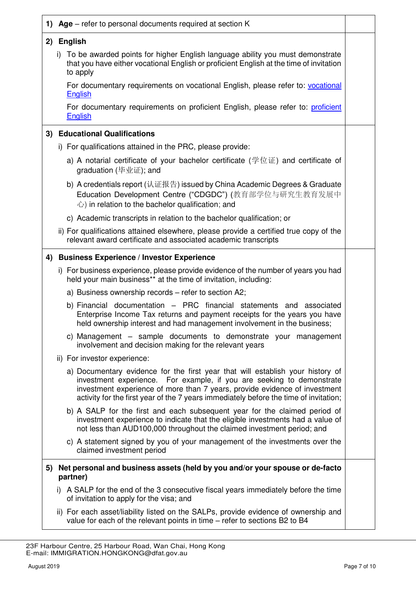|    | 1) Age – refer to personal documents required at section K                                                                                                                                                                                                                                                                     |  |  |
|----|--------------------------------------------------------------------------------------------------------------------------------------------------------------------------------------------------------------------------------------------------------------------------------------------------------------------------------|--|--|
|    | 2) English                                                                                                                                                                                                                                                                                                                     |  |  |
|    | i) To be awarded points for higher English language ability you must demonstrate<br>that you have either vocational English or proficient English at the time of invitation<br>to apply                                                                                                                                        |  |  |
|    | For documentary requirements on vocational English, please refer to: vocational<br><b>English</b>                                                                                                                                                                                                                              |  |  |
|    | For documentary requirements on proficient English, please refer to: proficient<br><b>English</b>                                                                                                                                                                                                                              |  |  |
| 3) | <b>Educational Qualifications</b>                                                                                                                                                                                                                                                                                              |  |  |
|    | i) For qualifications attained in the PRC, please provide:                                                                                                                                                                                                                                                                     |  |  |
|    | a) A notarial certificate of your bachelor certificate (学位证) and certificate of<br>graduation (毕业证); and                                                                                                                                                                                                                       |  |  |
|    | b) A credentials report (认证报告) issued by China Academic Degrees & Graduate<br>Education Development Centre ("CDGDC") (教育部学位与研究生教育发展中<br>$\therefore$ ) in relation to the bachelor qualification; and                                                                                                                          |  |  |
|    | c) Academic transcripts in relation to the bachelor qualification; or                                                                                                                                                                                                                                                          |  |  |
|    | ii) For qualifications attained elsewhere, please provide a certified true copy of the<br>relevant award certificate and associated academic transcripts                                                                                                                                                                       |  |  |
|    | 4) Business Experience / Investor Experience                                                                                                                                                                                                                                                                                   |  |  |
|    | i) For business experience, please provide evidence of the number of years you had<br>held your main business** at the time of invitation, including:                                                                                                                                                                          |  |  |
|    | a) Business ownership records - refer to section A2;                                                                                                                                                                                                                                                                           |  |  |
|    | b) Financial documentation - PRC financial statements and associated<br>Enterprise Income Tax returns and payment receipts for the years you have<br>held ownership interest and had management involvement in the business;                                                                                                   |  |  |
|    | c) Management – sample documents to demonstrate your management<br>involvement and decision making for the relevant years                                                                                                                                                                                                      |  |  |
|    | ii) For investor experience:                                                                                                                                                                                                                                                                                                   |  |  |
|    | a) Documentary evidence for the first year that will establish your history of<br>investment experience. For example, if you are seeking to demonstrate<br>investment experience of more than 7 years, provide evidence of investment<br>activity for the first year of the 7 years immediately before the time of invitation; |  |  |
|    | b) A SALP for the first and each subsequent year for the claimed period of<br>investment experience to indicate that the eligible investments had a value of<br>not less than AUD100,000 throughout the claimed investment period; and                                                                                         |  |  |
|    | c) A statement signed by you of your management of the investments over the<br>claimed investment period                                                                                                                                                                                                                       |  |  |
| 5) | Net personal and business assets (held by you and/or your spouse or de-facto<br>partner)                                                                                                                                                                                                                                       |  |  |
|    | i) A SALP for the end of the 3 consecutive fiscal years immediately before the time<br>of invitation to apply for the visa; and                                                                                                                                                                                                |  |  |
|    | ii) For each asset/liability listed on the SALPs, provide evidence of ownership and<br>value for each of the relevant points in time – refer to sections B2 to B4                                                                                                                                                              |  |  |

 <sup>23</sup>F Harbour Centre, 25 Harbour Road, Wan Chai, Hong Kong E-mail: IMMIGRATION.HONGKONG@dfat.gov.au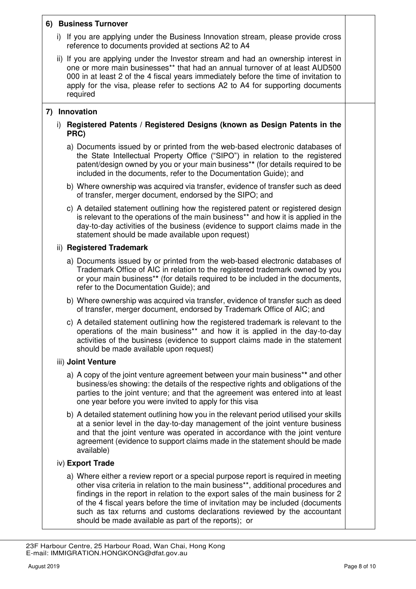### **6) Business Turnover**

- i) If you are applying under the Business Innovation stream, please provide cross reference to documents provided at sections A2 to A4
- ii) If you are applying under the Investor stream and had an ownership interest in one or more main businesses\*\* that had an annual turnover of at least AUD500 000 in at least 2 of the 4 fiscal years immediately before the time of invitation to apply for the visa, please refer to sections A2 to A4 for supporting documents required

### **7) Innovation**

- i) **Registered Patents / Registered Designs (known as Design Patents in the PRC)**
	- a) Documents issued by or printed from the web-based electronic databases of the State Intellectual Property Office ("SIPO") in relation to the registered patent/design owned by you or your main business\***\*** (for details required to be included in the documents, refer to the Documentation Guide); and
	- b) Where ownership was acquired via transfer, evidence of transfer such as deed of transfer, merger document, endorsed by the SIPO; and
	- c) A detailed statement outlining how the registered patent or registered design is relevant to the operations of the main business\*\* and how it is applied in the day-to-day activities of the business (evidence to support claims made in the statement should be made available upon request)

### ii) **Registered Trademark**

- a) Documents issued by or printed from the web-based electronic databases of Trademark Office of AIC in relation to the registered trademark owned by you or your main business\***\*** (for details required to be included in the documents, refer to the Documentation Guide); and
- b) Where ownership was acquired via transfer, evidence of transfer such as deed of transfer, merger document, endorsed by Trademark Office of AIC; and
- c) A detailed statement outlining how the registered trademark is relevant to the operations of the main business\*\* and how it is applied in the day-to-day activities of the business (evidence to support claims made in the statement should be made available upon request)

### iii) **Joint Venture**

- a) A copy of the joint venture agreement between your main business\***\*** and other business/es showing: the details of the respective rights and obligations of the parties to the joint venture; and that the agreement was entered into at least one year before you were invited to apply for this visa
- b) A detailed statement outlining how you in the relevant period utilised your skills at a senior level in the day-to-day management of the joint venture business and that the joint venture was operated in accordance with the joint venture agreement (evidence to support claims made in the statement should be made available)

### iv) **Export Trade**

a) Where either a review report or a special purpose report is required in meeting other visa criteria in relation to the main business\*\*, additional procedures and findings in the report in relation to the export sales of the main business for 2 of the 4 fiscal years before the time of invitation may be included (documents such as tax returns and customs declarations reviewed by the accountant should be made available as part of the reports); or

 <sup>23</sup>F Harbour Centre, 25 Harbour Road, Wan Chai, Hong Kong E-mail: IMMIGRATION.HONGKONG@dfat.gov.au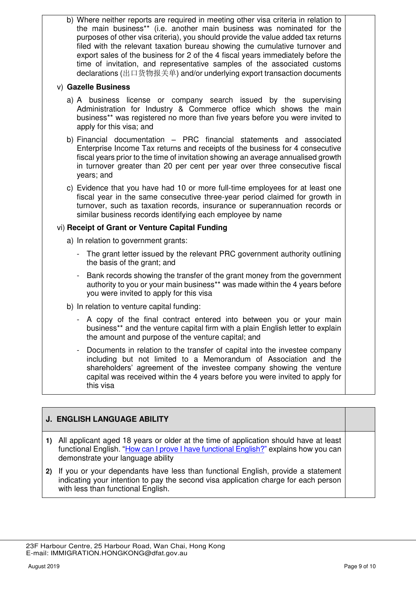b) Where neither reports are required in meeting other visa criteria in relation to the main business\*\* (i.e. another main business was nominated for the purposes of other visa criteria), you should provide the value added tax returns filed with the relevant taxation bureau showing the cumulative turnover and export sales of the business for 2 of the 4 fiscal years immediately before the time of invitation, and representative samples of the associated customs declarations (出口货物报关单) and/or underlying export transaction documents

### v) **Gazelle Business**

- a) A business license or company search issued by the supervising Administration for Industry & Commerce office which shows the main business\*\* was registered no more than five years before you were invited to apply for this visa; and
- b) Financial documentation PRC financial statements and associated Enterprise Income Tax returns and receipts of the business for 4 consecutive fiscal years prior to the time of invitation showing an average annualised growth in turnover greater than 20 per cent per year over three consecutive fiscal years; and
- c) Evidence that you have had 10 or more full-time employees for at least one fiscal year in the same consecutive three-year period claimed for growth in turnover, such as taxation records, insurance or superannuation records or similar business records identifying each employee by name

### vi) **Receipt of Grant or Venture Capital Funding**

- a) In relation to government grants:
	- The grant letter issued by the relevant PRC government authority outlining the basis of the grant; and
	- Bank records showing the transfer of the grant money from the government authority to you or your main business\*\* was made within the 4 years before you were invited to apply for this visa
- b) In relation to venture capital funding:
	- A copy of the final contract entered into between you or your main business\*\* and the venture capital firm with a plain English letter to explain the amount and purpose of the venture capital; and
	- Documents in relation to the transfer of capital into the investee company including but not limited to a Memorandum of Association and the shareholders' agreement of the investee company showing the venture capital was received within the 4 years before you were invited to apply for this visa

## **J. ENGLISH LANGUAGE ABILITY**

- **1)** All applicant aged 18 years or older at the time of application should have at least functional English. "[How can I prove I have functional English?](https://immi.homeaffairs.gov.au/help-support/meeting-our-requirements/english-language/functional-english)" explains how you can demonstrate your language ability
- **2)** If you or your dependants have less than functional English, provide a statement indicating your intention to pay the second visa application charge for each person with less than functional English.

 <sup>23</sup>F Harbour Centre, 25 Harbour Road, Wan Chai, Hong Kong E-mail: IMMIGRATION.HONGKONG@dfat.gov.au